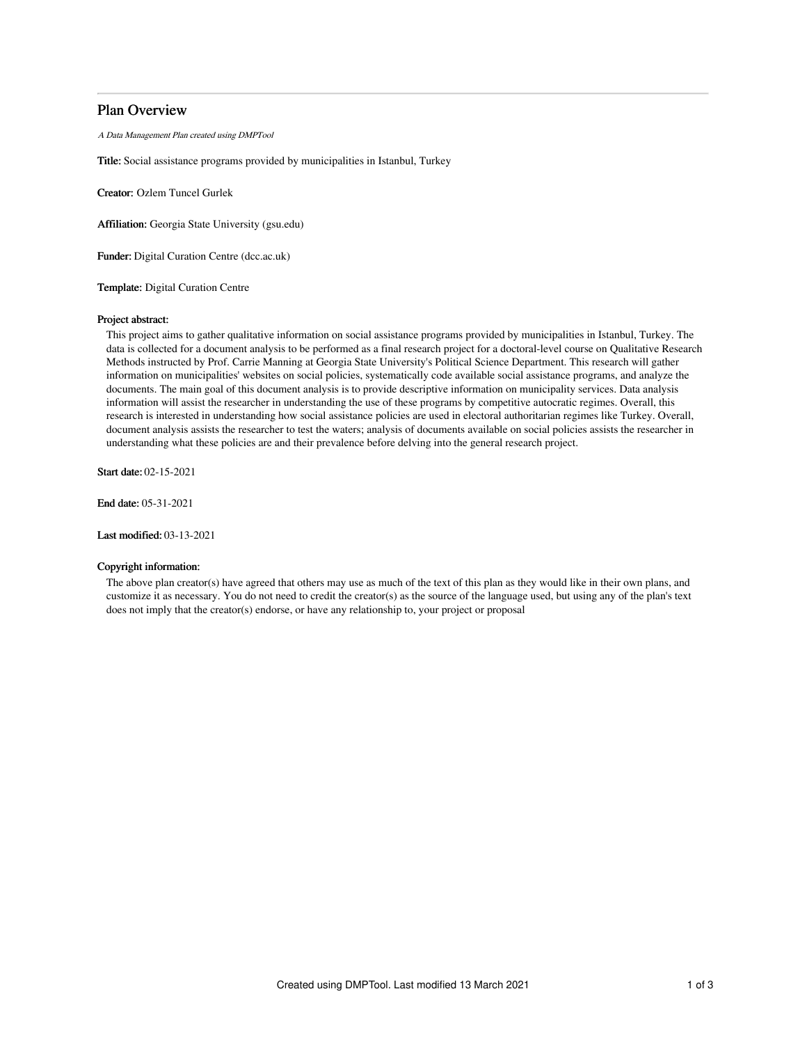# Plan Overview

A Data Management Plan created using DMPTool

Title: Social assistance programs provided by municipalities in Istanbul, Turkey

Creator: Ozlem Tuncel Gurlek

Affiliation: Georgia State University (gsu.edu)

Funder: Digital Curation Centre (dcc.ac.uk)

Template: Digital Curation Centre

# Project abstract:

This project aims to gather qualitative information on social assistance programs provided by municipalities in Istanbul, Turkey. The data is collected for a document analysis to be performed as a final research project for a doctoral-level course on Qualitative Research Methods instructed by Prof. Carrie Manning at Georgia State University's Political Science Department. This research will gather information on municipalities' websites on social policies, systematically code available social assistance programs, and analyze the documents. The main goal of this document analysis is to provide descriptive information on municipality services. Data analysis information will assist the researcher in understanding the use of these programs by competitive autocratic regimes. Overall, this research is interested in understanding how social assistance policies are used in electoral authoritarian regimes like Turkey. Overall, document analysis assists the researcher to test the waters; analysis of documents available on social policies assists the researcher in understanding what these policies are and their prevalence before delving into the general research project.

Start date: 02-15-2021

End date: 05-31-2021

Last modified: 03-13-2021

# Copyright information:

The above plan creator(s) have agreed that others may use as much of the text of this plan as they would like in their own plans, and customize it as necessary. You do not need to credit the creator(s) as the source of the language used, but using any of the plan's text does not imply that the creator(s) endorse, or have any relationship to, your project or proposal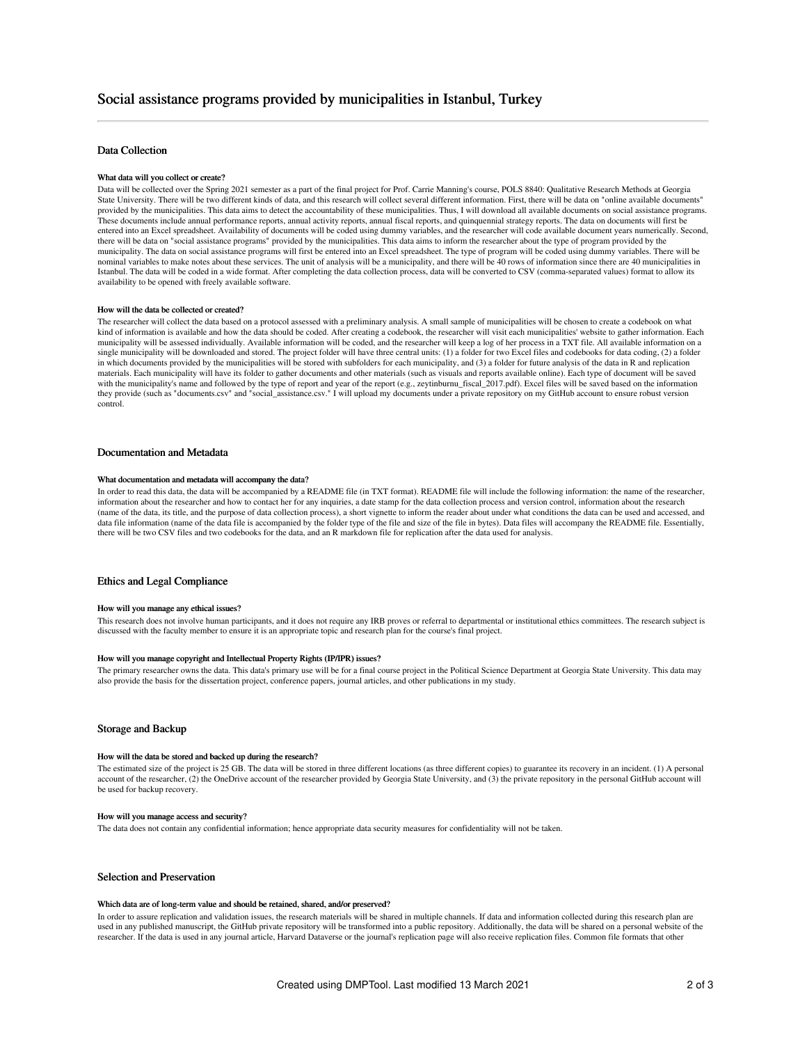# Data Collection

#### What data will you collect or create?

Data will be collected over the Spring 2021 semester as a part of the final project for Prof. Carrie Manning's course, POLS 8840: Qualitative Research Methods at Georgia State University. There will be two different kinds of data, and this research will collect several different information. First, there will be data on "online available documents" provided by the municipalities. This data aims to detect the accountability of these municipalities. Thus, I will download all available documents on social assistance programs. These documents include annual performance reports, annual activity reports, annual fiscal reports, and quinquennial strategy reports. The data on documents will first be entered into an Excel spreadsheet. Availability of documents will be coded using dummy variables, and the researcher will code available document years numerically. Second, there will be data on "social assistance programs" provided by the municipalities. This data aims to inform the researcher about the type of program provided by the municipality. The data on social assistance programs will first be entered into an Excel spreadsheet. The type of program will be coded using dummy variables. There will be nominal variables to make notes about these services. The unit of analysis will be a municipality, and there will be 40 rows of information since there are 40 municipalities in Istanbul. The data will be coded in a wide format. After completing the data collection process, data will be converted to CSV (comma-separated values) format to allow its availability to be opened with freely available software.

#### How will the data be collected or created?

The researcher will collect the data based on a protocol assessed with a preliminary analysis. A small sample of municipalities will be chosen to create a codebook on what kind of information is available and how the data should be coded. After creating a codebook, the researcher will visit each municipalities' website to gather information. Each municipality will be assessed individually. Available information will be coded, and the researcher will keep a log of her process in a TXT file. All available information on a single municipality will be downloaded and stored. The project folder will have three central units: (1) a folder for two Excel files and codebooks for data coding, (2) a folder in which documents provided by the municipalities will be stored with subfolders for each municipality, and (3) a folder for future analysis of the data in R and replication materials. Each municipality will have its folder to gather documents and other materials (such as visuals and reports available online). Each type of document will be saved with the municipality's name and followed by the type of report and year of the report (e.g., zeytinburnu\_fiscal\_2017.pdf). Excel files will be saved based on the information they provide (such as "documents.csv" and "social\_assistance.csv." I will upload my documents under a private repository on my GitHub account to ensure robust version control.

### Documentation and Metadata

#### What documentation and metadata will accompany the data?

In order to read this data, the data will be accompanied by a README file (in TXT format). README file will include the following information: the name of the researcher, information about the researcher and how to contact her for any inquiries, a date stamp for the data collection process and version control, information about the research (name of the data, its title, and the purpose of data collection process), a short vignette to inform the reader about under what conditions the data can be used and accessed, and data file information (name of the data file is accompanied by the folder type of the file and size of the file in bytes). Data files will accompany the README file. Essentially, there will be two CSV files and two codebooks for the data, and an R markdown file for replication after the data used for analysis.

# Ethics and Legal Compliance

#### How will you manage any ethical issues?

This research does not involve human participants, and it does not require any IRB proves or referral to departmental or institutional ethics committees. The research subject is discussed with the faculty member to ensure it is an appropriate topic and research plan for the course's final project.

# How will you manage copyright and Intellectual Property Rights (IP/IPR) issues?

The primary researcher owns the data. This data's primary use will be for a final course project in the Political Science Department at Georgia State University. This data may also provide the basis for the dissertation project, conference papers, journal articles, and other publications in my study.

#### Storage and Backup

#### How will the data be stored and backed up during the research?

The estimated size of the project is 25 GB. The data will be stored in three different locations (as three different copies) to guarantee its recovery in an incident. (1) A personal account of the researcher, (2) the OneDrive account of the researcher provided by Georgia State University, and (3) the private repository in the personal GitHub account will be used for backup recovery.

### How will you manage access and security?

The data does not contain any confidential information; hence appropriate data security measures for confidentiality will not be taken.

# Selection and Preservation

#### Which data are of long-term value and should be retained, shared, and/or preserved?

In order to assure replication and validation issues, the research materials will be shared in multiple channels. If data and information collected during this research plan are used in any published manuscript, the GitHub private repository will be transformed into a public repository. Additionally, the data will be shared on a personal website of the researcher. If the data is used in any journal article, Harvard Dataverse or the journal's replication page will also receive replication files. Common file formats that other